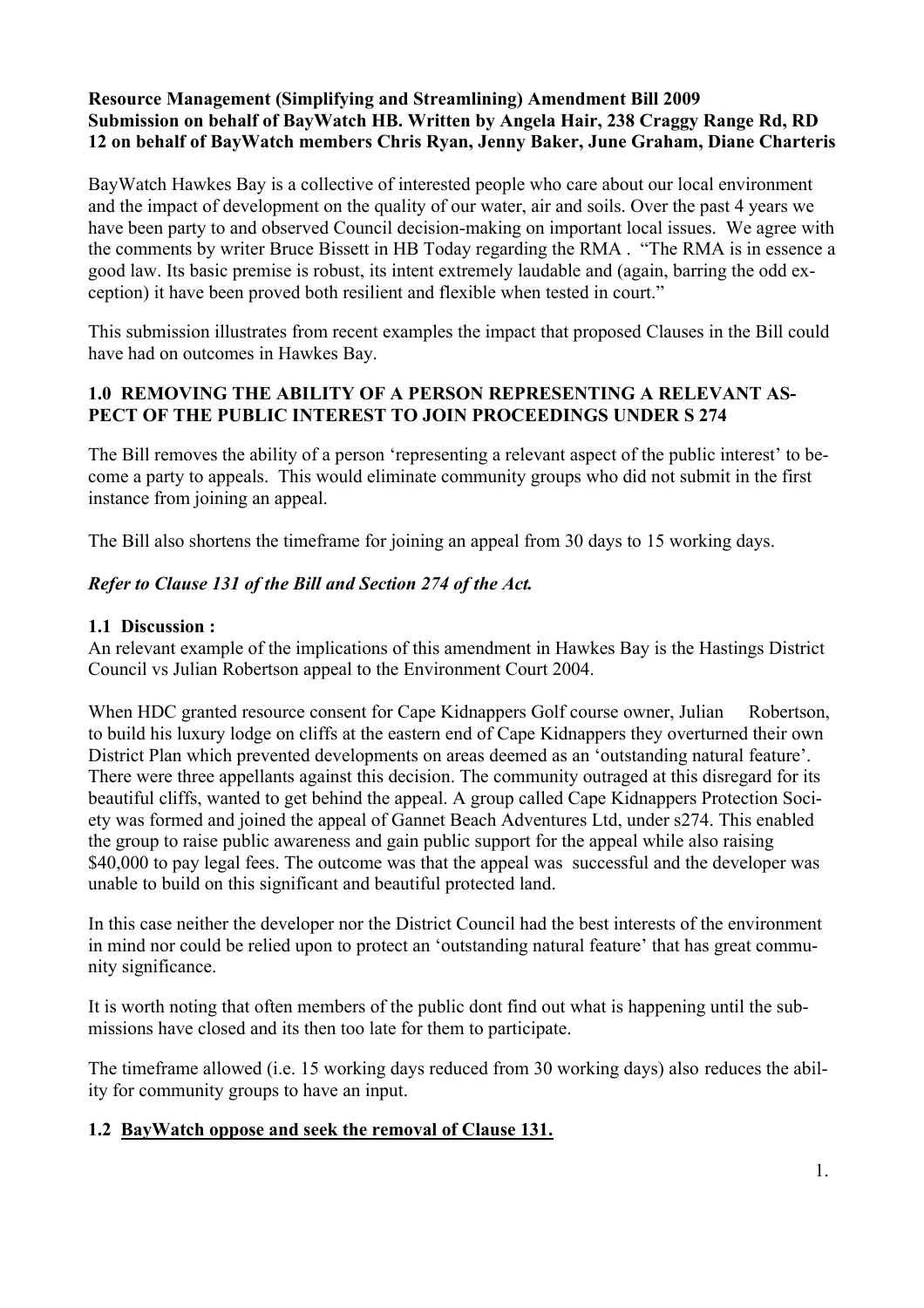## Resource Management (Simplifying and Streamlining) Amendment Bill 2009 Submission on behalf of BayWatch HB. Written by Angela Hair, 238 Craggy Range Rd, RD 12 on behalf of BayWatch members Chris Ryan, Jenny Baker, June Graham, Diane Charteris

BayWatch Hawkes Bay is a collective of interested people who care about our local environment and the impact of development on the quality of our water, air and soils. Over the past 4 years we have been party to and observed Council decision-making on important local issues. We agree with the comments by writer Bruce Bissett in HB Today regarding the RMA . "The RMA is in essence a good law. Its basic premise is robust, its intent extremely laudable and (again, barring the odd exception) it have been proved both resilient and flexible when tested in court."

This submission illustrates from recent examples the impact that proposed Clauses in the Bill could have had on outcomes in Hawkes Bay.

## 1.0 REMOVING THE ABILITY OF A PERSON REPRESENTING A RELEVANT AS-PECT OF THE PUBLIC INTEREST TO JOIN PROCEEDINGS UNDER S 274

The Bill removes the ability of a person 'representing a relevant aspect of the public interest' to become a party to appeals. This would eliminate community groups who did not submit in the first instance from joining an appeal.

The Bill also shortens the timeframe for joining an appeal from 30 days to 15 working days.

## *Refer to Clause 131 of the Bill and Section 274 of the Act.*

#### 1.1 Discussion :

An relevant example of the implications of this amendment in Hawkes Bay is the Hastings District Council vs Julian Robertson appeal to the Environment Court 2004.

When HDC granted resource consent for Cape Kidnappers Golf course owner, Julian Robertson, to build his luxury lodge on cliffs at the eastern end of Cape Kidnappers they overturned their own District Plan which prevented developments on areas deemed as an 'outstanding natural feature'. There were three appellants against this decision. The community outraged at this disregard for its beautiful cliffs, wanted to get behind the appeal. A group called Cape Kidnappers Protection Society was formed and joined the appeal of Gannet Beach Adventures Ltd, under s274. This enabled the group to raise public awareness and gain public support for the appeal while also raising \$40,000 to pay legal fees. The outcome was that the appeal was successful and the developer was unable to build on this significant and beautiful protected land.

In this case neither the developer nor the District Council had the best interests of the environment in mind nor could be relied upon to protect an 'outstanding natural feature' that has great community significance.

It is worth noting that often members of the public dont find out what is happening until the submissions have closed and its then too late for them to participate.

The timeframe allowed (i.e. 15 working days reduced from 30 working days) also reduces the ability for community groups to have an input.

# 1.2 BayWatch oppose and seek the removal of Clause 131.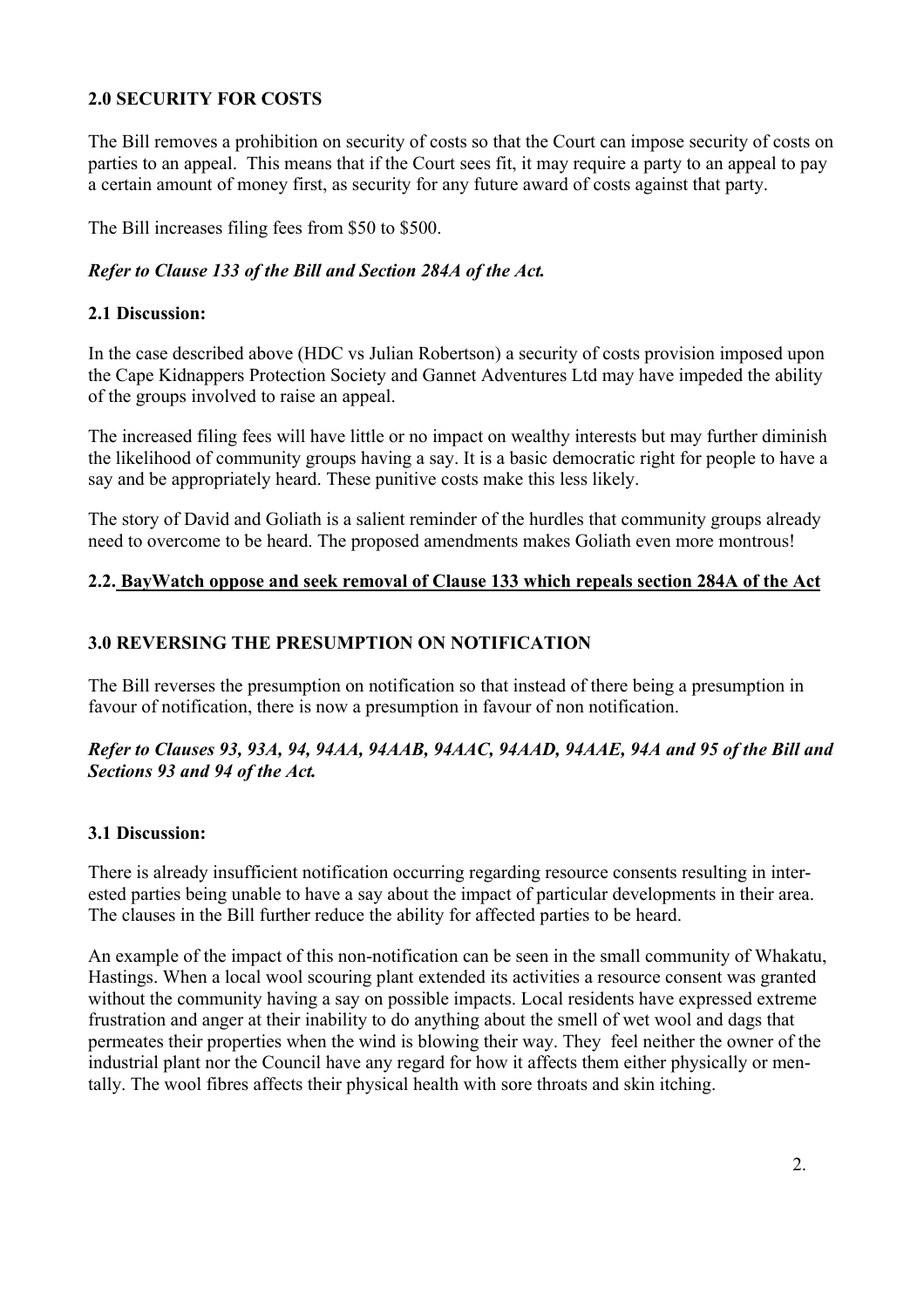## 2.0 SECURITY FOR COSTS

The Bill removes a prohibition on security of costs so that the Court can impose security of costs on parties to an appeal. This means that if the Court sees fit, it may require a party to an appeal to pay a certain amount of money first, as security for any future award of costs against that party.

The Bill increases filing fees from \$50 to \$500.

## *Refer to Clause 133 of the Bill and Section 284A of the Act.*

### 2.1 Discussion:

In the case described above (HDC vs Julian Robertson) a security of costs provision imposed upon the Cape Kidnappers Protection Society and Gannet Adventures Ltd may have impeded the ability of the groups involved to raise an appeal.

The increased filing fees will have little or no impact on wealthy interests but may further diminish the likelihood of community groups having a say. It is a basic democratic right for people to have a say and be appropriately heard. These punitive costs make this less likely.

The story of David and Goliath is a salient reminder of the hurdles that community groups already need to overcome to be heard. The proposed amendments makes Goliath even more montrous!

#### 2.2. BayWatch oppose and seek removal of Clause 133 which repeals section 284A of the Act

## 3.0 REVERSING THE PRESUMPTION ON NOTIFICATION

The Bill reverses the presumption on notification so that instead of there being a presumption in favour of notification, there is now a presumption in favour of non notification.

#### *Refer to Clauses 93, 93A, 94, 94AA, 94AAB, 94AAC, 94AAD, 94AAE, 94A and 95 of the Bill and Sections 93 and 94 of the Act.*

## 3.1 Discussion:

There is already insufficient notification occurring regarding resource consents resulting in interested parties being unable to have a say about the impact of particular developments in their area. The clauses in the Bill further reduce the ability for affected parties to be heard.

An example of the impact of this non-notification can be seen in the small community of Whakatu, Hastings. When a local wool scouring plant extended its activities a resource consent was granted without the community having a say on possible impacts. Local residents have expressed extreme frustration and anger at their inability to do anything about the smell of wet wool and dags that permeates their properties when the wind is blowing their way. They feel neither the owner of the industrial plant nor the Council have any regard for how it affects them either physically or mentally. The wool fibres affects their physical health with sore throats and skin itching.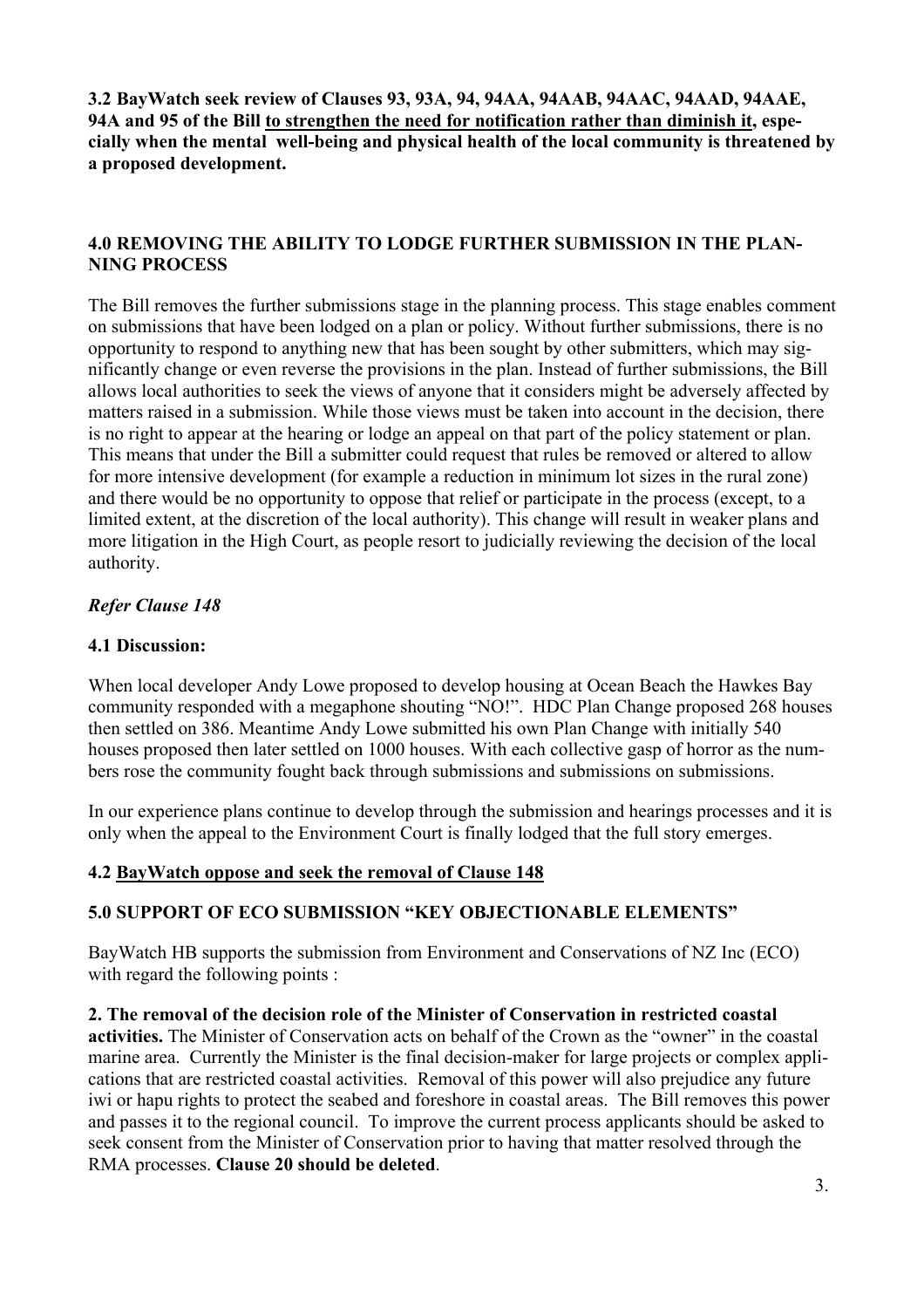3.2 BayWatch seek review of Clauses 93, 93A, 94, 94AA, 94AAB, 94AAC, 94AAD, 94AAE, 94A and 95 of the Bill to strengthen the need for notification rather than diminish it, especially when the mental well-being and physical health of the local community is threatened by a proposed development.

## 4.0 REMOVING THE ABILITY TO LODGE FURTHER SUBMISSION IN THE PLAN-NING PROCESS

The Bill removes the further submissions stage in the planning process. This stage enables comment on submissions that have been lodged on a plan or policy. Without further submissions, there is no opportunity to respond to anything new that has been sought by other submitters, which may significantly change or even reverse the provisions in the plan. Instead of further submissions, the Bill allows local authorities to seek the views of anyone that it considers might be adversely affected by matters raised in a submission. While those views must be taken into account in the decision, there is no right to appear at the hearing or lodge an appeal on that part of the policy statement or plan. This means that under the Bill a submitter could request that rules be removed or altered to allow for more intensive development (for example a reduction in minimum lot sizes in the rural zone) and there would be no opportunity to oppose that relief or participate in the process (except, to a limited extent, at the discretion of the local authority). This change will result in weaker plans and more litigation in the High Court, as people resort to judicially reviewing the decision of the local authority.

## *Refer Clause 148*

### 4.1 Discussion:

When local developer Andy Lowe proposed to develop housing at Ocean Beach the Hawkes Bay community responded with a megaphone shouting "NO!". HDC Plan Change proposed 268 houses then settled on 386. Meantime Andy Lowe submitted his own Plan Change with initially 540 houses proposed then later settled on 1000 houses. With each collective gasp of horror as the numbers rose the community fought back through submissions and submissions on submissions.

In our experience plans continue to develop through the submission and hearings processes and it is only when the appeal to the Environment Court is finally lodged that the full story emerges.

#### 4.2 BayWatch oppose and seek the removal of Clause 148

## 5.0 SUPPORT OF ECO SUBMISSION "KEY OBJECTIONABLE ELEMENTS"

BayWatch HB supports the submission from Environment and Conservations of NZ Inc (ECO) with regard the following points :

2. The removal of the decision role of the Minister of Conservation in restricted coastal activities. The Minister of Conservation acts on behalf of the Crown as the "owner" in the coastal marine area. Currently the Minister is the final decision-maker for large projects or complex applications that are restricted coastal activities. Removal of this power will also prejudice any future iwi or hapu rights to protect the seabed and foreshore in coastal areas. The Bill removes this power and passes it to the regional council. To improve the current process applicants should be asked to seek consent from the Minister of Conservation prior to having that matter resolved through the RMA processes. Clause 20 should be deleted.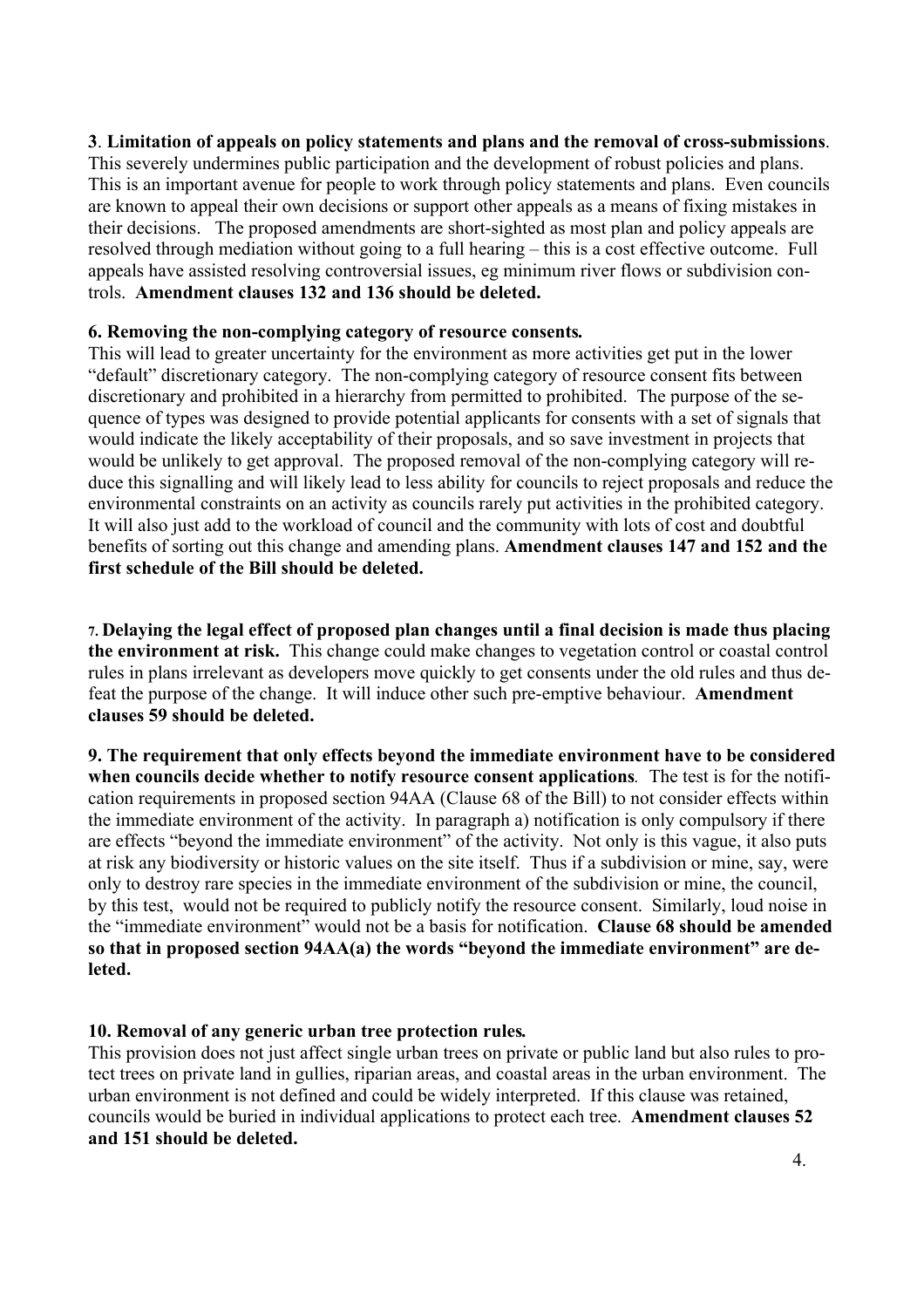## 3. Limitation of appeals on policy statements and plans and the removal of cross-submissions.

This severely undermines public participation and the development of robust policies and plans. This is an important avenue for people to work through policy statements and plans. Even councils are known to appeal their own decisions or support other appeals as a means of fixing mistakes in their decisions. The proposed amendments are short-sighted as most plan and policy appeals are resolved through mediation without going to a full hearing – this is a cost effective outcome. Full appeals have assisted resolving controversial issues, eg minimum river flows or subdivision controls. Amendment clauses 132 and 136 should be deleted.

#### 6. Removing the non-complying category of resource consents*.*

This will lead to greater uncertainty for the environment as more activities get put in the lower "default" discretionary category. The non-complying category of resource consent fits between discretionary and prohibited in a hierarchy from permitted to prohibited. The purpose of the sequence of types was designed to provide potential applicants for consents with a set of signals that would indicate the likely acceptability of their proposals, and so save investment in projects that would be unlikely to get approval. The proposed removal of the non-complying category will reduce this signalling and will likely lead to less ability for councils to reject proposals and reduce the environmental constraints on an activity as councils rarely put activities in the prohibited category. It will also just add to the workload of council and the community with lots of cost and doubtful benefits of sorting out this change and amending plans. Amendment clauses 147 and 152 and the first schedule of the Bill should be deleted.

7. Delaying the legal effect of proposed plan changes until a final decision is made thus placing the environment at risk. This change could make changes to vegetation control or coastal control rules in plans irrelevant as developers move quickly to get consents under the old rules and thus defeat the purpose of the change. It will induce other such pre-emptive behaviour. Amendment clauses 59 should be deleted.

9. The requirement that only effects beyond the immediate environment have to be considered when councils decide whether to notify resource consent applications*.* The test is for the notification requirements in proposed section 94AA (Clause 68 of the Bill) to not consider effects within the immediate environment of the activity. In paragraph a) notification is only compulsory if there are effects "beyond the immediate environment" of the activity. Not only is this vague, it also puts at risk any biodiversity or historic values on the site itself. Thus if a subdivision or mine, say, were only to destroy rare species in the immediate environment of the subdivision or mine, the council, by this test, would not be required to publicly notify the resource consent. Similarly, loud noise in the "immediate environment" would not be a basis for notification. Clause 68 should be amended so that in proposed section 94AA(a) the words "beyond the immediate environment" are deleted.

## 10. Removal of any generic urban tree protection rules*.*

This provision does not just affect single urban trees on private or public land but also rules to protect trees on private land in gullies, riparian areas, and coastal areas in the urban environment. The urban environment is not defined and could be widely interpreted. If this clause was retained, councils would be buried in individual applications to protect each tree. Amendment clauses 52 and 151 should be deleted.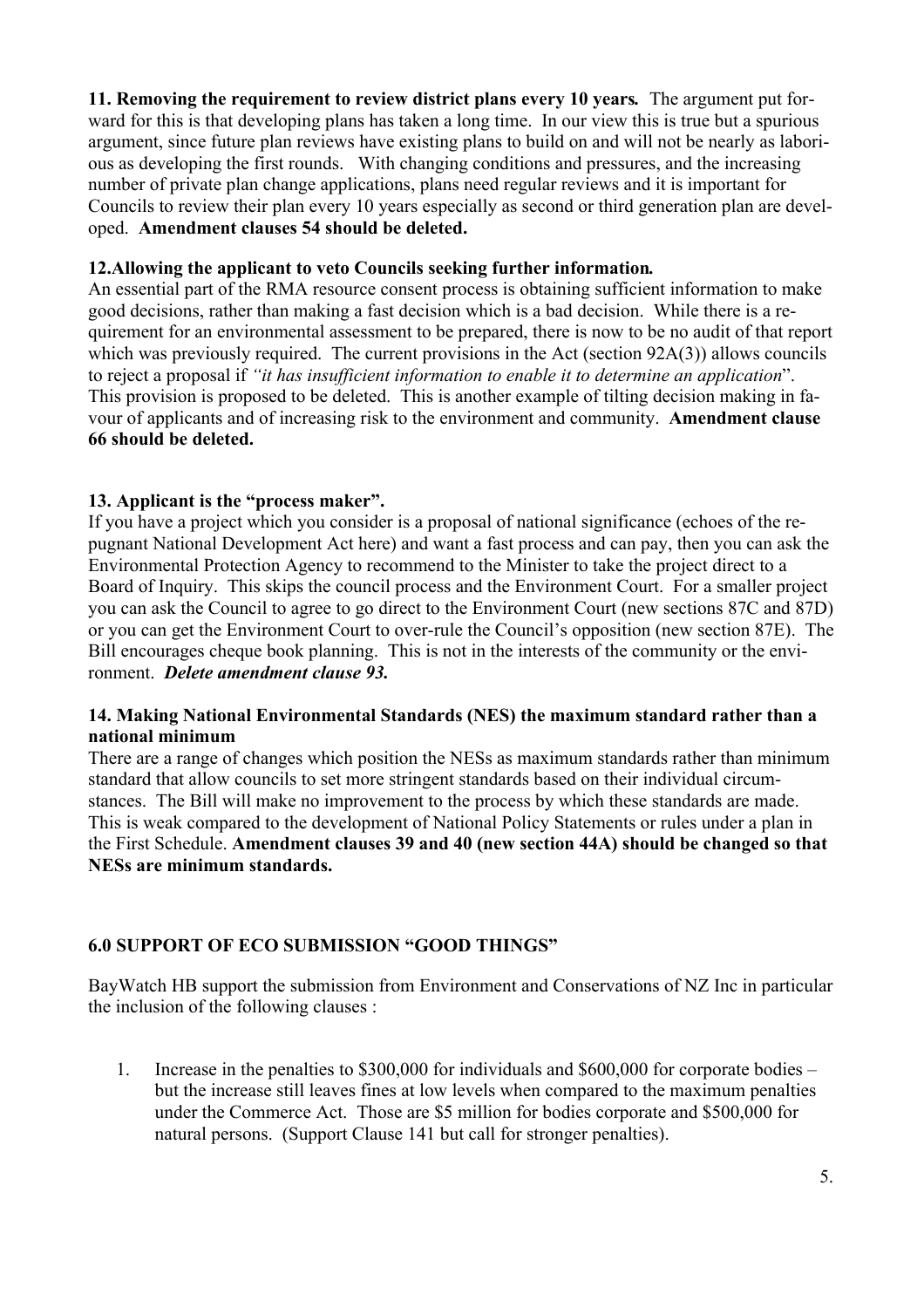### 11. Removing the requirement to review district plans every 10 years*.* The argument put forward for this is that developing plans has taken a long time. In our view this is true but a spurious argument, since future plan reviews have existing plans to build on and will not be nearly as laborious as developing the first rounds. With changing conditions and pressures, and the increasing number of private plan change applications, plans need regular reviews and it is important for Councils to review their plan every 10 years especially as second or third generation plan are developed. Amendment clauses 54 should be deleted.

## 12.Allowing the applicant to veto Councils seeking further information*.*

An essential part of the RMA resource consent process is obtaining sufficient information to make good decisions, rather than making a fast decision which is a bad decision. While there is a requirement for an environmental assessment to be prepared, there is now to be no audit of that report which was previously required. The current provisions in the Act (section 92A(3)) allows councils to reject a proposal if *"it has insufficient information to enable it to determine an application*". This provision is proposed to be deleted. This is another example of tilting decision making in favour of applicants and of increasing risk to the environment and community. Amendment clause 66 should be deleted.

## 13. Applicant is the "process maker".

If you have a project which you consider is a proposal of national significance (echoes of the repugnant National Development Act here) and want a fast process and can pay, then you can ask the Environmental Protection Agency to recommend to the Minister to take the project direct to a Board of Inquiry. This skips the council process and the Environment Court. For a smaller project you can ask the Council to agree to go direct to the Environment Court (new sections 87C and 87D) or you can get the Environment Court to over-rule the Council's opposition (new section 87E). The Bill encourages cheque book planning. This is not in the interests of the community or the environment. *Delete amendment clause 93.*

## 14. Making National Environmental Standards (NES) the maximum standard rather than a national minimum

There are a range of changes which position the NESs as maximum standards rather than minimum standard that allow councils to set more stringent standards based on their individual circumstances. The Bill will make no improvement to the process by which these standards are made. This is weak compared to the development of National Policy Statements or rules under a plan in the First Schedule. Amendment clauses 39 and 40 (new section 44A) should be changed so that NESs are minimum standards.

# 6.0 SUPPORT OF ECO SUBMISSION "GOOD THINGS"

BayWatch HB support the submission from Environment and Conservations of NZ Inc in particular the inclusion of the following clauses :

1. Increase in the penalties to \$300,000 for individuals and \$600,000 for corporate bodies – but the increase still leaves fines at low levels when compared to the maximum penalties under the Commerce Act. Those are \$5 million for bodies corporate and \$500,000 for natural persons. (Support Clause 141 but call for stronger penalties).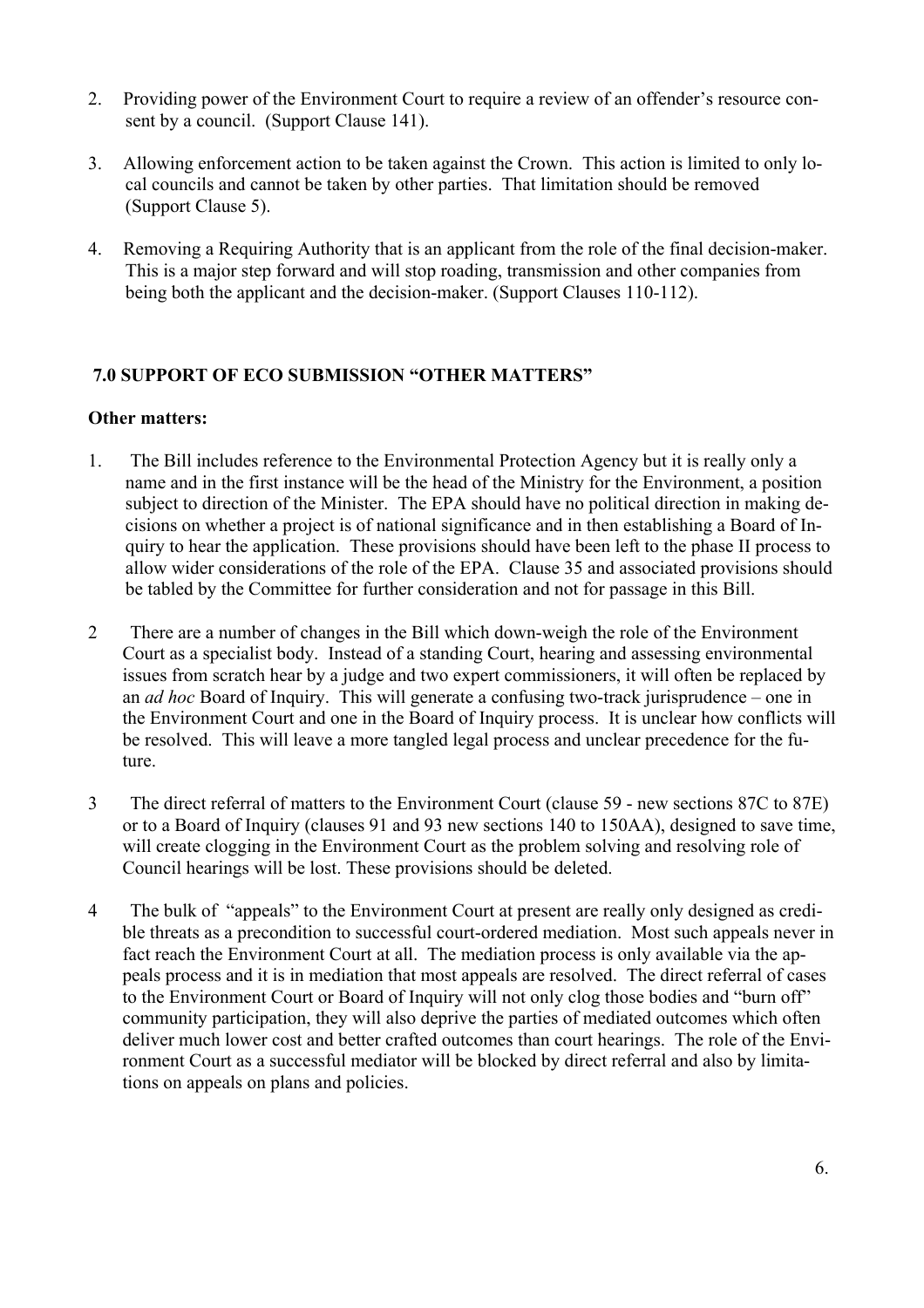- 2. Providing power of the Environment Court to require a review of an offender's resource consent by a council. (Support Clause 141).
- 3. Allowing enforcement action to be taken against the Crown. This action is limited to only local councils and cannot be taken by other parties. That limitation should be removed (Support Clause 5).
- 4. Removing a Requiring Authority that is an applicant from the role of the final decision-maker. This is a major step forward and will stop roading, transmission and other companies from being both the applicant and the decision-maker. (Support Clauses 110-112).

# 7.0 SUPPORT OF ECO SUBMISSION "OTHER MATTERS"

## Other matters:

- 1. The Bill includes reference to the Environmental Protection Agency but it is really only a name and in the first instance will be the head of the Ministry for the Environment, a position subject to direction of the Minister. The EPA should have no political direction in making decisions on whether a project is of national significance and in then establishing a Board of Inquiry to hear the application. These provisions should have been left to the phase II process to allow wider considerations of the role of the EPA. Clause 35 and associated provisions should be tabled by the Committee for further consideration and not for passage in this Bill.
- 2 There are a number of changes in the Bill which down-weigh the role of the Environment Court as a specialist body. Instead of a standing Court, hearing and assessing environmental issues from scratch hear by a judge and two expert commissioners, it will often be replaced by an *ad hoc* Board of Inquiry. This will generate a confusing two-track jurisprudence – one in the Environment Court and one in the Board of Inquiry process. It is unclear how conflicts will be resolved. This will leave a more tangled legal process and unclear precedence for the future.
- 3 The direct referral of matters to the Environment Court (clause 59 new sections 87C to 87E) or to a Board of Inquiry (clauses 91 and 93 new sections 140 to 150AA), designed to save time, will create clogging in the Environment Court as the problem solving and resolving role of Council hearings will be lost. These provisions should be deleted.
- 4 The bulk of "appeals" to the Environment Court at present are really only designed as credible threats as a precondition to successful court-ordered mediation. Most such appeals never in fact reach the Environment Court at all. The mediation process is only available via the appeals process and it is in mediation that most appeals are resolved. The direct referral of cases to the Environment Court or Board of Inquiry will not only clog those bodies and "burn off" community participation, they will also deprive the parties of mediated outcomes which often deliver much lower cost and better crafted outcomes than court hearings. The role of the Environment Court as a successful mediator will be blocked by direct referral and also by limitations on appeals on plans and policies.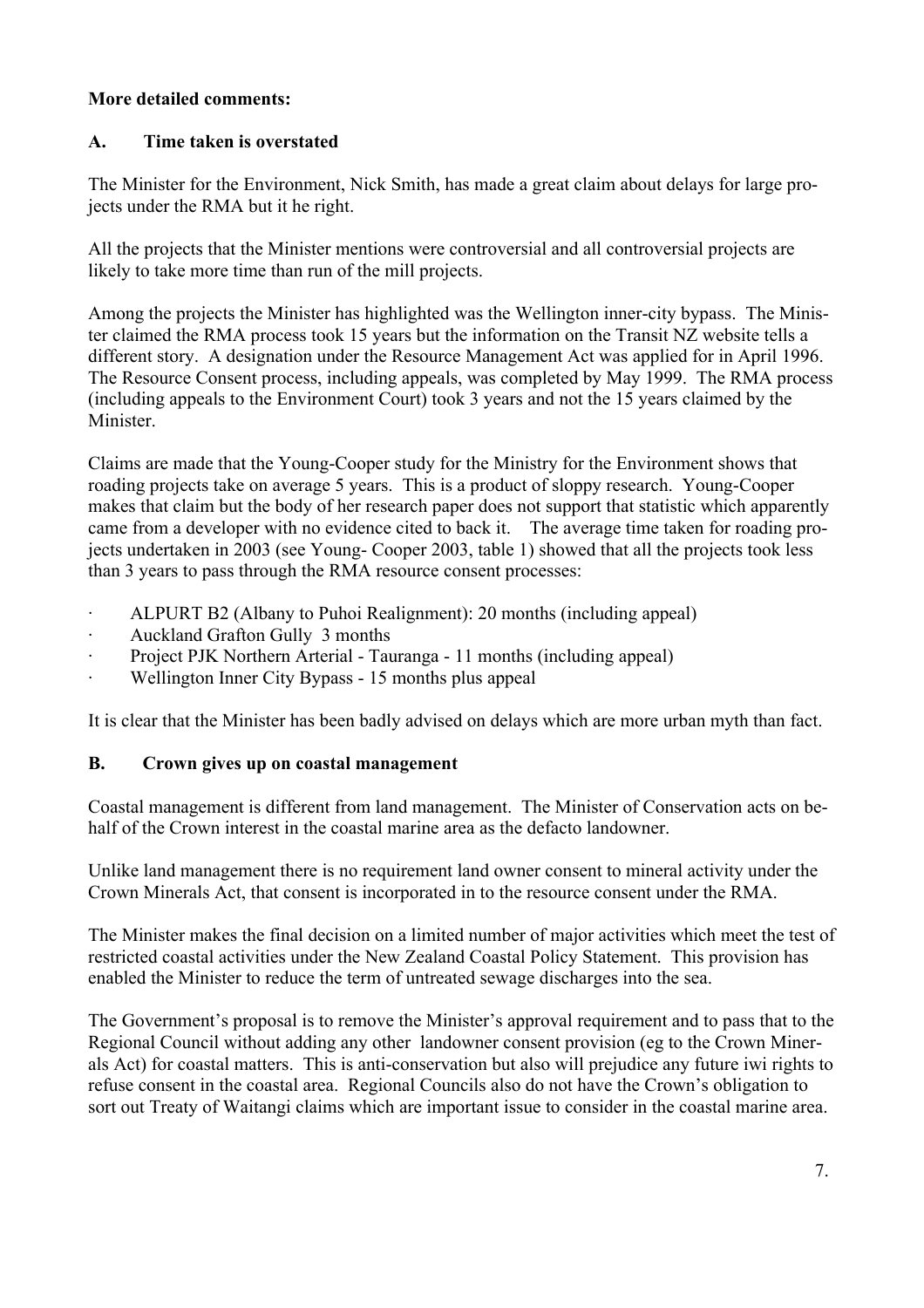## More detailed comments:

## A. Time taken is overstated

The Minister for the Environment, Nick Smith, has made a great claim about delays for large projects under the RMA but it he right.

All the projects that the Minister mentions were controversial and all controversial projects are likely to take more time than run of the mill projects.

Among the projects the Minister has highlighted was the Wellington inner-city bypass. The Minister claimed the RMA process took 15 years but the information on the Transit NZ website tells a different story. A designation under the Resource Management Act was applied for in April 1996. The Resource Consent process, including appeals, was completed by May 1999. The RMA process (including appeals to the Environment Court) took 3 years and not the 15 years claimed by the Minister.

Claims are made that the Young-Cooper study for the Ministry for the Environment shows that roading projects take on average 5 years. This is a product of sloppy research. Young-Cooper makes that claim but the body of her research paper does not support that statistic which apparently came from a developer with no evidence cited to back it. The average time taken for roading projects undertaken in 2003 (see Young- Cooper 2003, table 1) showed that all the projects took less than 3 years to pass through the RMA resource consent processes:

- · ALPURT B2 (Albany to Puhoi Realignment): 20 months (including appeal)
- · Auckland Grafton Gully 3 months
- · Project PJK Northern Arterial Tauranga 11 months (including appeal)
- Wellington Inner City Bypass 15 months plus appeal

It is clear that the Minister has been badly advised on delays which are more urban myth than fact.

## B. Crown gives up on coastal management

Coastal management is different from land management. The Minister of Conservation acts on behalf of the Crown interest in the coastal marine area as the defacto landowner.

Unlike land management there is no requirement land owner consent to mineral activity under the Crown Minerals Act, that consent is incorporated in to the resource consent under the RMA.

The Minister makes the final decision on a limited number of major activities which meet the test of restricted coastal activities under the New Zealand Coastal Policy Statement. This provision has enabled the Minister to reduce the term of untreated sewage discharges into the sea.

The Government's proposal is to remove the Minister's approval requirement and to pass that to the Regional Council without adding any other landowner consent provision (eg to the Crown Minerals Act) for coastal matters. This is anti-conservation but also will prejudice any future iwi rights to refuse consent in the coastal area. Regional Councils also do not have the Crown's obligation to sort out Treaty of Waitangi claims which are important issue to consider in the coastal marine area.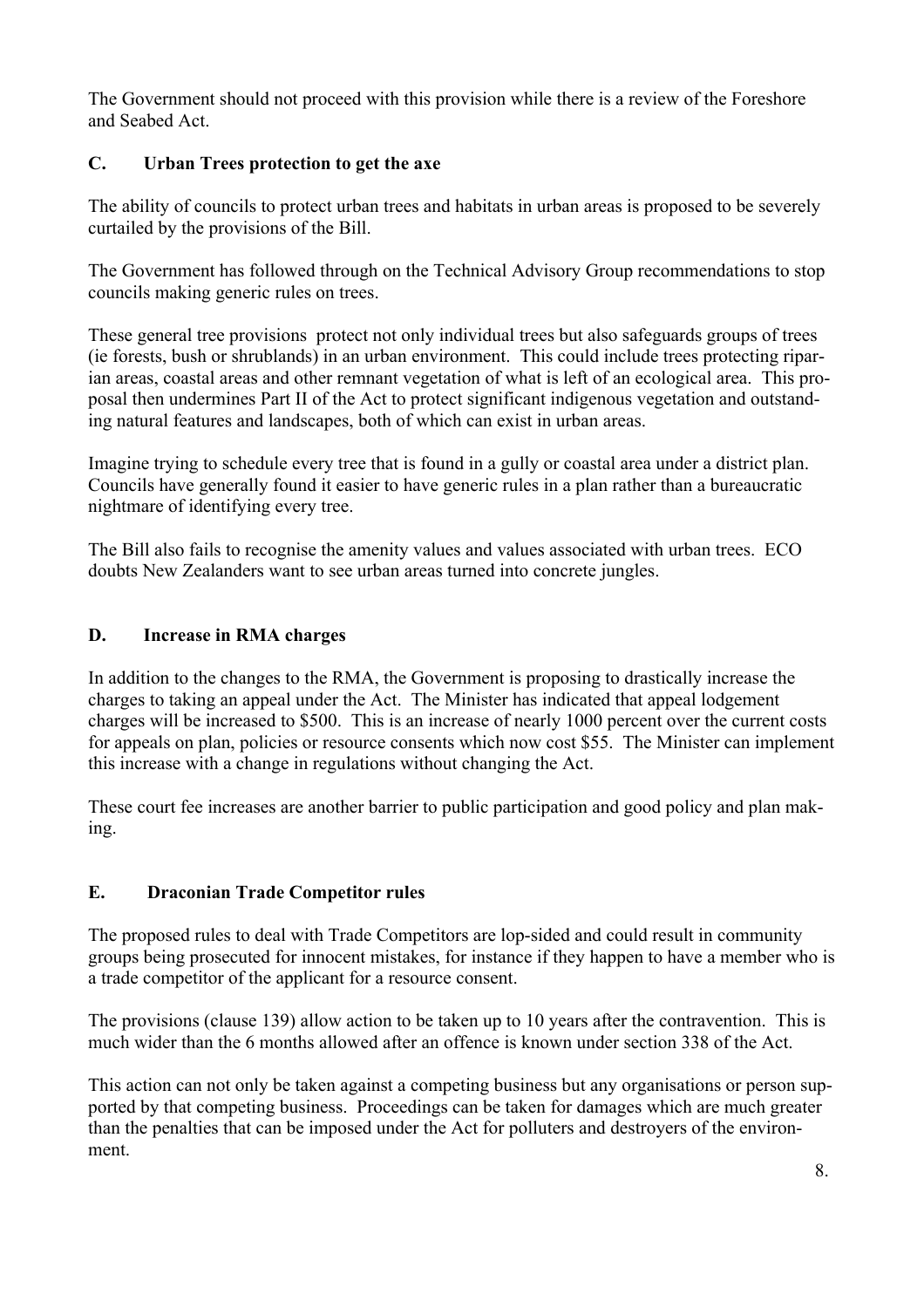The Government should not proceed with this provision while there is a review of the Foreshore and Seabed Act.

# C. Urban Trees protection to get the axe

The ability of councils to protect urban trees and habitats in urban areas is proposed to be severely curtailed by the provisions of the Bill.

The Government has followed through on the Technical Advisory Group recommendations to stop councils making generic rules on trees.

These general tree provisions protect not only individual trees but also safeguards groups of trees (ie forests, bush or shrublands) in an urban environment. This could include trees protecting riparian areas, coastal areas and other remnant vegetation of what is left of an ecological area. This proposal then undermines Part II of the Act to protect significant indigenous vegetation and outstanding natural features and landscapes, both of which can exist in urban areas.

Imagine trying to schedule every tree that is found in a gully or coastal area under a district plan. Councils have generally found it easier to have generic rules in a plan rather than a bureaucratic nightmare of identifying every tree.

The Bill also fails to recognise the amenity values and values associated with urban trees. ECO doubts New Zealanders want to see urban areas turned into concrete jungles.

# D. Increase in RMA charges

In addition to the changes to the RMA, the Government is proposing to drastically increase the charges to taking an appeal under the Act. The Minister has indicated that appeal lodgement charges will be increased to \$500. This is an increase of nearly 1000 percent over the current costs for appeals on plan, policies or resource consents which now cost \$55. The Minister can implement this increase with a change in regulations without changing the Act.

These court fee increases are another barrier to public participation and good policy and plan making.

# E. Draconian Trade Competitor rules

The proposed rules to deal with Trade Competitors are lop-sided and could result in community groups being prosecuted for innocent mistakes, for instance if they happen to have a member who is a trade competitor of the applicant for a resource consent.

The provisions (clause 139) allow action to be taken up to 10 years after the contravention. This is much wider than the 6 months allowed after an offence is known under section 338 of the Act.

This action can not only be taken against a competing business but any organisations or person supported by that competing business. Proceedings can be taken for damages which are much greater than the penalties that can be imposed under the Act for polluters and destroyers of the environment.